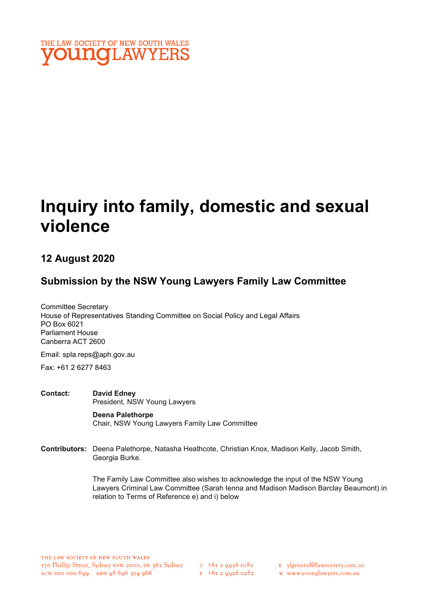

# Inquiry into family, domestic and sexual violence

### 12 August 2020

### Submission by the NSW Young Lawyers Family Law Committee

Committee Secretary House of Representatives Standing Committee on Social Policy and Legal Affairs PO Box 6021 Parliament House Canberra ACT 2600

Email: spla.reps@aph.gov.au

Fax: +61 2 6277 8463

Contact: David Edney President, NSW Young Lawyers

> Deena Palethorpe Chair, NSW Young Lawyers Family Law Committee

Contributors: Deena Palethorpe, Natasha Heathcote, Christian Knox, Madison Kelly, Jacob Smith, Georgia Burke.

> The Family Law Committee also wishes to acknowledge the input of the NSW Young Lawyers Criminal Law Committee (Sarah Ienna and Madison Madison Barclay Beaumont) in relation to Terms of Reference e) and i) below

 $F + 6I$  2 9926 0282

E ylgeneral@lawsociety.com.au

w www.younglawyers.com.au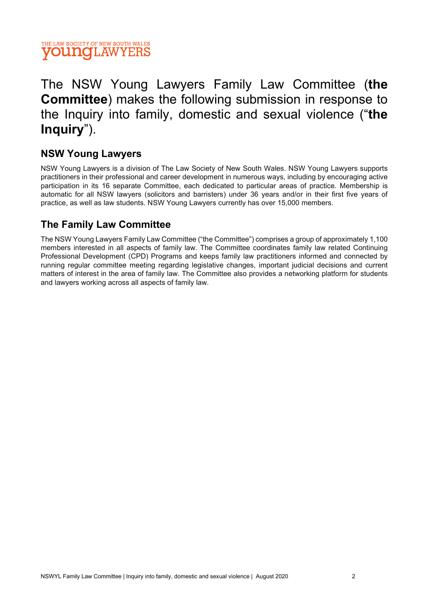

# The NSW Young Lawyers Family Law Committee (the Committee) makes the following submission in response to the Inquiry into family, domestic and sexual violence ("the Inquiry").

### NSW Young Lawyers

NSW Young Lawyers is a division of The Law Society of New South Wales. NSW Young Lawyers supports practitioners in their professional and career development in numerous ways, including by encouraging active participation in its 16 separate Committee, each dedicated to particular areas of practice. Membership is automatic for all NSW lawyers (solicitors and barristers) under 36 years and/or in their first five years of practice, as well as law students. NSW Young Lawyers currently has over 15,000 members.

### The Family Law Committee

The NSW Young Lawyers Family Law Committee ("the Committee") comprises a group of approximately 1,100 members interested in all aspects of family law. The Committee coordinates family law related Continuing Professional Development (CPD) Programs and keeps family law practitioners informed and connected by running regular committee meeting regarding legislative changes, important judicial decisions and current matters of interest in the area of family law. The Committee also provides a networking platform for students and lawyers working across all aspects of family law.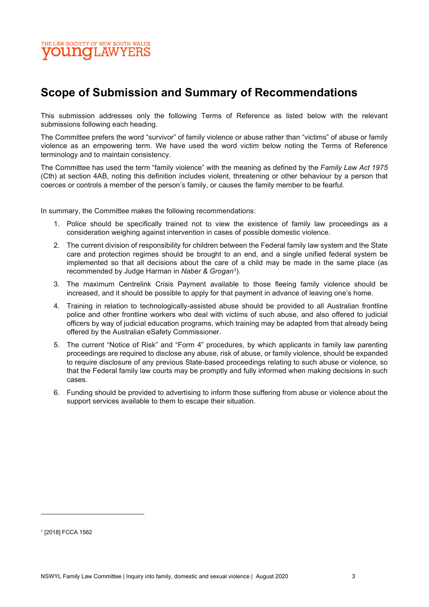### THE LAW SOCIETY OF NEW SOUTH WALES **OUNOLAW**

# Scope of Submission and Summary of Recommendations

This submission addresses only the following Terms of Reference as listed below with the relevant submissions following each heading.

The Committee prefers the word "survivor" of family violence or abuse rather than "victims" of abuse or family violence as an empowering term. We have used the word victim below noting the Terms of Reference terminology and to maintain consistency.

The Committee has used the term "family violence" with the meaning as defined by the Family Law Act 1975 (Cth) at section 4AB, noting this definition includes violent, threatening or other behaviour by a person that coerces or controls a member of the person's family, or causes the family member to be fearful.

In summary, the Committee makes the following recommendations:

- 1. Police should be specifically trained not to view the existence of family law proceedings as a consideration weighing against intervention in cases of possible domestic violence.
- 2. The current division of responsibility for children between the Federal family law system and the State care and protection regimes should be brought to an end, and a single unified federal system be implemented so that all decisions about the care of a child may be made in the same place (as recommended by Judge Harman in Naber & Grogan<sup>1</sup>).
- 3. The maximum Centrelink Crisis Payment available to those fleeing family violence should be increased, and it should be possible to apply for that payment in advance of leaving one's home.
- 4. Training in relation to technologically-assisted abuse should be provided to all Australian frontline police and other frontline workers who deal with victims of such abuse, and also offered to judicial officers by way of judicial education programs, which training may be adapted from that already being offered by the Australian eSafety Commissioner.
- 5. The current "Notice of Risk" and "Form 4" procedures, by which applicants in family law parenting proceedings are required to disclose any abuse, risk of abuse, or family violence, should be expanded to require disclosure of any previous State-based proceedings relating to such abuse or violence, so that the Federal family law courts may be promptly and fully informed when making decisions in such cases.
- 6. Funding should be provided to advertising to inform those suffering from abuse or violence about the support services available to them to escape their situation.

<sup>1</sup> [2018] FCCA 1562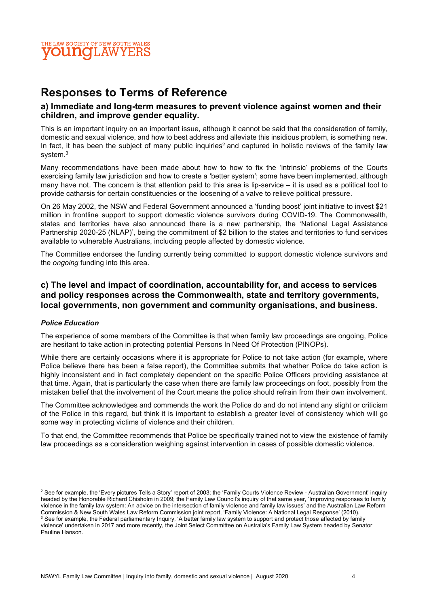

## Responses to Terms of Reference

#### a) Immediate and long-term measures to prevent violence against women and their children, and improve gender equality.

This is an important inquiry on an important issue, although it cannot be said that the consideration of family, domestic and sexual violence, and how to best address and alleviate this insidious problem, is something new. In fact, it has been the subject of many public inquiries<sup>2</sup> and captured in holistic reviews of the family law system.<sup>3</sup>

Many recommendations have been made about how to how to fix the 'intrinsic' problems of the Courts exercising family law jurisdiction and how to create a 'better system'; some have been implemented, although many have not. The concern is that attention paid to this area is lip-service – it is used as a political tool to provide catharsis for certain constituencies or the loosening of a valve to relieve political pressure.

On 26 May 2002, the NSW and Federal Government announced a 'funding boost' joint initiative to invest \$21 million in frontline support to support domestic violence survivors during COVID-19. The Commonwealth, states and territories have also announced there is a new partnership, the 'National Legal Assistance Partnership 2020-25 (NLAP)', being the commitment of \$2 billion to the states and territories to fund services available to vulnerable Australians, including people affected by domestic violence.

The Committee endorses the funding currently being committed to support domestic violence survivors and the ongoing funding into this area.

### c) The level and impact of coordination, accountability for, and access to services and policy responses across the Commonwealth, state and territory governments, local governments, non government and community organisations, and business.

#### Police Education

The experience of some members of the Committee is that when family law proceedings are ongoing, Police are hesitant to take action in protecting potential Persons In Need Of Protection (PINOPs).

While there are certainly occasions where it is appropriate for Police to not take action (for example, where Police believe there has been a false report), the Committee submits that whether Police do take action is highly inconsistent and in fact completely dependent on the specific Police Officers providing assistance at that time. Again, that is particularly the case when there are family law proceedings on foot, possibly from the mistaken belief that the involvement of the Court means the police should refrain from their own involvement.

The Committee acknowledges and commends the work the Police do and do not intend any slight or criticism of the Police in this regard, but think it is important to establish a greater level of consistency which will go some way in protecting victims of violence and their children.

To that end, the Committee recommends that Police be specifically trained not to view the existence of family law proceedings as a consideration weighing against intervention in cases of possible domestic violence.

<sup>&</sup>lt;sup>2</sup> See for example, the 'Every pictures Tells a Story' report of 2003; the 'Family Courts Violence Review - Australian Government' inquiry headed by the Honorable Richard Chisholm in 2009; the Family Law Council's inquiry of that same year, 'Improving responses to family violence in the family law system: An advice on the intersection of family violence and family law issues' and the Australian Law Reform Commission & New South Wales Law Reform Commission joint report, 'Family Violence: A National Legal Response' (2010). <sup>3</sup> See for example, the Federal parliamentary Inquiry, 'A better family law system to support and protect those affected by family violence' undertaken in 2017 and more recently, the Joint Select Committee on Australia's Family Law System headed by Senator Pauline Hanson.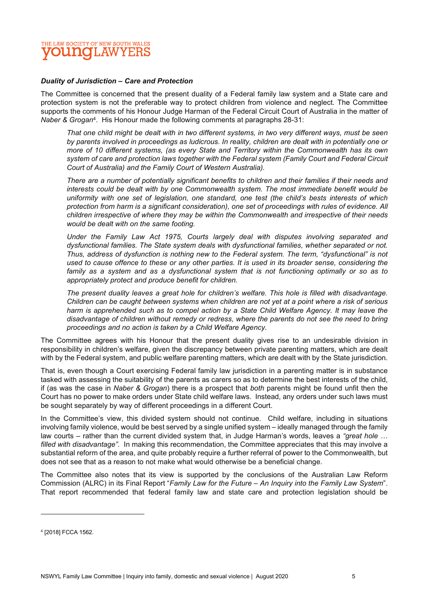### THE LAW SOCIETY OF NEW SOUTH WALES **OUNCLAWYERS**

#### Duality of Jurisdiction – Care and Protection

The Committee is concerned that the present duality of a Federal family law system and a State care and protection system is not the preferable way to protect children from violence and neglect. The Committee supports the comments of his Honour Judge Harman of the Federal Circuit Court of Australia in the matter of Naber & Grogan<sup>4</sup>. His Honour made the following comments at paragraphs 28-31:

That one child might be dealt with in two different systems, in two very different ways, must be seen by parents involved in proceedings as ludicrous. In reality, children are dealt with in potentially one or more of 10 different systems, (as every State and Territory within the Commonwealth has its own system of care and protection laws together with the Federal system (Family Court and Federal Circuit Court of Australia) and the Family Court of Western Australia).

There are a number of potentially significant benefits to children and their families if their needs and interests could be dealt with by one Commonwealth system. The most immediate benefit would be uniformity with one set of legislation, one standard, one test (the child's bests interests of which protection from harm is a significant consideration), one set of proceedings with rules of evidence. All children irrespective of where they may be within the Commonwealth and irrespective of their needs would be dealt with on the same footing.

Under the Family Law Act 1975, Courts largely deal with disputes involving separated and dysfunctional families. The State system deals with dysfunctional families, whether separated or not. Thus, address of dysfunction is nothing new to the Federal system. The term, "dysfunctional" is not used to cause offence to these or any other parties. It is used in its broader sense, considering the family as a system and as a dysfunctional system that is not functioning optimally or so as to appropriately protect and produce benefit for children.

The present duality leaves a great hole for children's welfare. This hole is filled with disadvantage. Children can be caught between systems when children are not yet at a point where a risk of serious harm is apprehended such as to compel action by a State Child Welfare Agency. It may leave the disadvantage of children without remedy or redress, where the parents do not see the need to bring proceedings and no action is taken by a Child Welfare Agency.

The Committee agrees with his Honour that the present duality gives rise to an undesirable division in responsibility in children's welfare, given the discrepancy between private parenting matters, which are dealt with by the Federal system, and public welfare parenting matters, which are dealt with by the State jurisdiction.

That is, even though a Court exercising Federal family law jurisdiction in a parenting matter is in substance tasked with assessing the suitability of the parents as carers so as to determine the best interests of the child, if (as was the case in Naber & Grogan) there is a prospect that both parents might be found unfit then the Court has no power to make orders under State child welfare laws. Instead, any orders under such laws must be sought separately by way of different proceedings in a different Court.

In the Committee's view, this divided system should not continue. Child welfare, including in situations involving family violence, would be best served by a single unified system – ideally managed through the family law courts – rather than the current divided system that, in Judge Harman's words, leaves a "great hole ... filled with disadvantage". In making this recommendation, the Committee appreciates that this may involve a substantial reform of the area, and quite probably require a further referral of power to the Commonwealth, but does not see that as a reason to not make what would otherwise be a beneficial change.

The Committee also notes that its view is supported by the conclusions of the Australian Law Reform Commission (ALRC) in its Final Report "Family Law for the Future – An Inquiry into the Family Law System". That report recommended that federal family law and state care and protection legislation should be

<sup>4</sup> [2018] FCCA 1562.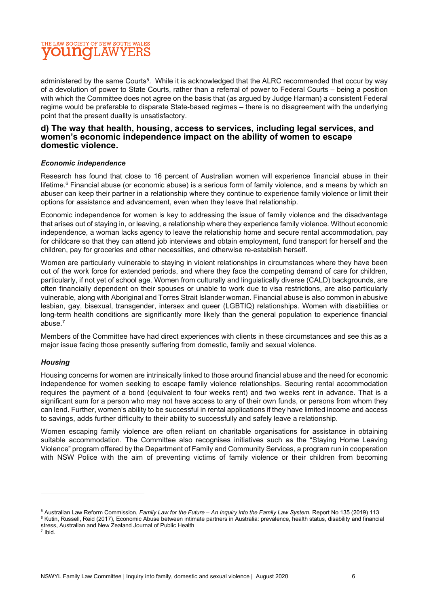

administered by the same Courts<sup>5</sup>. While it is acknowledged that the ALRC recommended that occur by way of a devolution of power to State Courts, rather than a referral of power to Federal Courts – being a position with which the Committee does not agree on the basis that (as argued by Judge Harman) a consistent Federal regime would be preferable to disparate State-based regimes – there is no disagreement with the underlying point that the present duality is unsatisfactory.

#### d) The way that health, housing, access to services, including legal services, and women's economic independence impact on the ability of women to escape domestic violence.

#### Economic independence

Research has found that close to 16 percent of Australian women will experience financial abuse in their lifetime.<sup>6</sup> Financial abuse (or economic abuse) is a serious form of family violence, and a means by which an abuser can keep their partner in a relationship where they continue to experience family violence or limit their options for assistance and advancement, even when they leave that relationship.

Economic independence for women is key to addressing the issue of family violence and the disadvantage that arises out of staying in, or leaving, a relationship where they experience family violence. Without economic independence, a woman lacks agency to leave the relationship home and secure rental accommodation, pay for childcare so that they can attend job interviews and obtain employment, fund transport for herself and the children, pay for groceries and other necessities, and otherwise re-establish herself.

Women are particularly vulnerable to staying in violent relationships in circumstances where they have been out of the work force for extended periods, and where they face the competing demand of care for children, particularly, if not yet of school age. Women from culturally and linguistically diverse (CALD) backgrounds, are often financially dependent on their spouses or unable to work due to visa restrictions, are also particularly vulnerable, along with Aboriginal and Torres Strait Islander woman. Financial abuse is also common in abusive lesbian, gay, bisexual, transgender, intersex and queer (LGBTIQ) relationships. Women with disabilities or long-term health conditions are significantly more likely than the general population to experience financial abuse.<sup>7</sup>

Members of the Committee have had direct experiences with clients in these circumstances and see this as a major issue facing those presently suffering from domestic, family and sexual violence.

#### **Housing**

Housing concerns for women are intrinsically linked to those around financial abuse and the need for economic independence for women seeking to escape family violence relationships. Securing rental accommodation requires the payment of a bond (equivalent to four weeks rent) and two weeks rent in advance. That is a significant sum for a person who may not have access to any of their own funds, or persons from whom they can lend. Further, women's ability to be successful in rental applications if they have limited income and access to savings, adds further difficulty to their ability to successfully and safely leave a relationship.

Women escaping family violence are often reliant on charitable organisations for assistance in obtaining suitable accommodation. The Committee also recognises initiatives such as the "Staying Home Leaving Violence" program offered by the Department of Family and Community Services, a program run in cooperation with NSW Police with the aim of preventing victims of family violence or their children from becoming

<sup>6</sup> Kutin, Russell, Reid (2017), Economic Abuse between intimate partners in Australia: prevalence, health status, disability and financial stress, Australian and New Zealand Journal of Public Health

<sup>&</sup>lt;sup>5</sup> Australian Law Reform Commission, *Family Law for the Future – An Inquiry into the Family Law System*, Report No 135 (2019) 113

<sup>7</sup> Ibid.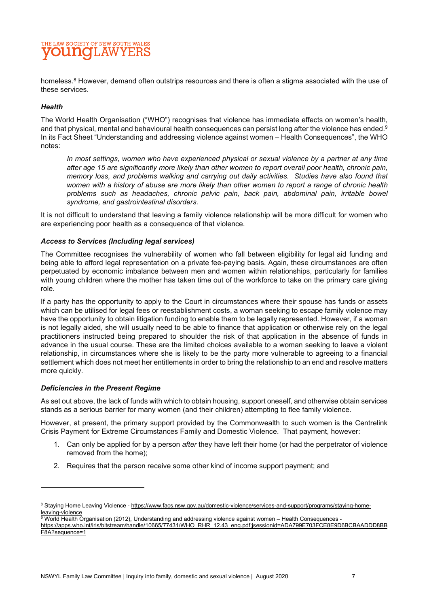#### THE LAW SOCIETY OF NEW SOUTH WALES **OU NOT AW** Y F.

homeless.<sup>8</sup> However, demand often outstrips resources and there is often a stigma associated with the use of these services.

#### **Health**

The World Health Organisation ("WHO") recognises that violence has immediate effects on women's health, and that physical, mental and behavioural health consequences can persist long after the violence has ended.<sup>9</sup> In its Fact Sheet "Understanding and addressing violence against women – Health Consequences", the WHO notes:

In most settings, women who have experienced physical or sexual violence by a partner at any time after age 15 are significantly more likely than other women to report overall poor health, chronic pain, memory loss, and problems walking and carrying out daily activities. Studies have also found that women with a history of abuse are more likely than other women to report a range of chronic health problems such as headaches, chronic pelvic pain, back pain, abdominal pain, irritable bowel syndrome, and gastrointestinal disorders.

It is not difficult to understand that leaving a family violence relationship will be more difficult for women who are experiencing poor health as a consequence of that violence.

#### Access to Services (Including legal services)

The Committee recognises the vulnerability of women who fall between eligibility for legal aid funding and being able to afford legal representation on a private fee-paying basis. Again, these circumstances are often perpetuated by economic imbalance between men and women within relationships, particularly for families with young children where the mother has taken time out of the workforce to take on the primary care giving role.

If a party has the opportunity to apply to the Court in circumstances where their spouse has funds or assets which can be utilised for legal fees or reestablishment costs, a woman seeking to escape family violence may have the opportunity to obtain litigation funding to enable them to be legally represented. However, if a woman is not legally aided, she will usually need to be able to finance that application or otherwise rely on the legal practitioners instructed being prepared to shoulder the risk of that application in the absence of funds in advance in the usual course. These are the limited choices available to a woman seeking to leave a violent relationship, in circumstances where she is likely to be the party more vulnerable to agreeing to a financial settlement which does not meet her entitlements in order to bring the relationship to an end and resolve matters more quickly.

#### Deficiencies in the Present Regime

As set out above, the lack of funds with which to obtain housing, support oneself, and otherwise obtain services stands as a serious barrier for many women (and their children) attempting to flee family violence.

However, at present, the primary support provided by the Commonwealth to such women is the Centrelink Crisis Payment for Extreme Circumstances Family and Domestic Violence. That payment, however:

- 1. Can only be applied for by a person after they have left their home (or had the perpetrator of violence removed from the home);
- 2. Requires that the person receive some other kind of income support payment; and

<sup>&</sup>lt;sup>8</sup> Staying Home Leaving Violence - https://www.facs.nsw.gov.au/domestic-violence/services-and-support/programs/staying-homeleaving-violence

<sup>9</sup> World Health Organisation (2012), Understanding and addressing violence against women – Health Consequences https://apps.who.int/iris/bitstream/handle/10665/77431/WHO\_RHR\_12.43\_eng.pdf;jsessionid=ADA799E703FCE8E9D6BCBAADDD8BB F8A?sequence=1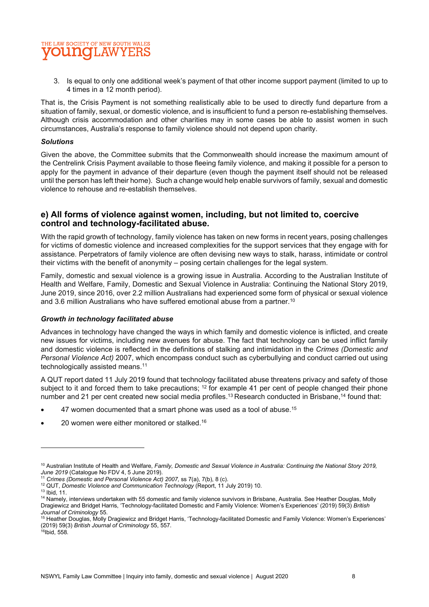#### THE LAW SOCIETY OF NEW SOUTH WALES **DUNGLAW** Y F.

3. Is equal to only one additional week's payment of that other income support payment (limited to up to 4 times in a 12 month period).

That is, the Crisis Payment is not something realistically able to be used to directly fund departure from a situation of family, sexual, or domestic violence, and is insufficient to fund a person re-establishing themselves. Although crisis accommodation and other charities may in some cases be able to assist women in such circumstances, Australia's response to family violence should not depend upon charity.

#### Solutions

Given the above, the Committee submits that the Commonwealth should increase the maximum amount of the Centrelink Crisis Payment available to those fleeing family violence, and making it possible for a person to apply for the payment in advance of their departure (even though the payment itself should not be released until the person has left their home). Such a change would help enable survivors of family, sexual and domestic violence to rehouse and re-establish themselves.

#### e) All forms of violence against women, including, but not limited to, coercive control and technology-facilitated abuse.

With the rapid growth of technology, family violence has taken on new forms in recent years, posing challenges for victims of domestic violence and increased complexities for the support services that they engage with for assistance. Perpetrators of family violence are often devising new ways to stalk, harass, intimidate or control their victims with the benefit of anonymity – posing certain challenges for the legal system.

Family, domestic and sexual violence is a growing issue in Australia. According to the Australian Institute of Health and Welfare, Family, Domestic and Sexual Violence in Australia: Continuing the National Story 2019, June 2019, since 2016, over 2.2 million Australians had experienced some form of physical or sexual violence and 3.6 million Australians who have suffered emotional abuse from a partner.<sup>10</sup>

#### Growth in technology facilitated abuse

Advances in technology have changed the ways in which family and domestic violence is inflicted, and create new issues for victims, including new avenues for abuse. The fact that technology can be used inflict family and domestic violence is reflected in the definitions of stalking and intimidation in the Crimes (Domestic and Personal Violence Act) 2007, which encompass conduct such as cyberbullying and conduct carried out using technologically assisted means.<sup>11</sup>

A QUT report dated 11 July 2019 found that technology facilitated abuse threatens privacy and safety of those subject to it and forced them to take precautions;  $12$  for example 41 per cent of people changed their phone number and 21 per cent created new social media profiles.<sup>13</sup> Research conducted in Brisbane,<sup>14</sup> found that:

- 47 women documented that a smart phone was used as a tool of abuse.<sup>15</sup>
- 20 women were either monitored or stalked.<sup>16</sup>

<sup>12</sup> QUT, Domestic Violence and Communication Technology (Report, 11 July 2019) 10. <sup>13</sup> Ibid, 11.

 $16$ Ibid, 558.

<sup>&</sup>lt;sup>10</sup> Australian Institute of Health and Welfare, Family, Domestic and Sexual Violence in Australia: Continuing the National Story 2019, June 2019 (Catalogue No FDV 4, 5 June 2019).

<sup>&</sup>lt;sup>11</sup> Crimes (Domestic and Personal Violence Act) 2007, ss 7(a), 7(b), 8 (c).

<sup>&</sup>lt;sup>14</sup> Namely, interviews undertaken with 55 domestic and family violence survivors in Brisbane, Australia. See Heather Douglas, Molly Dragiewicz and Bridget Harris, 'Technology-facilitated Domestic and Family Violence: Women's Experiences' (2019) 59(3) British Journal of Criminology 55.

<sup>15</sup> Heather Douglas, Molly Dragiewicz and Bridget Harris, 'Technology-facilitated Domestic and Family Violence: Women's Experiences' (2019) 59(3) British Journal of Criminology 55, 557.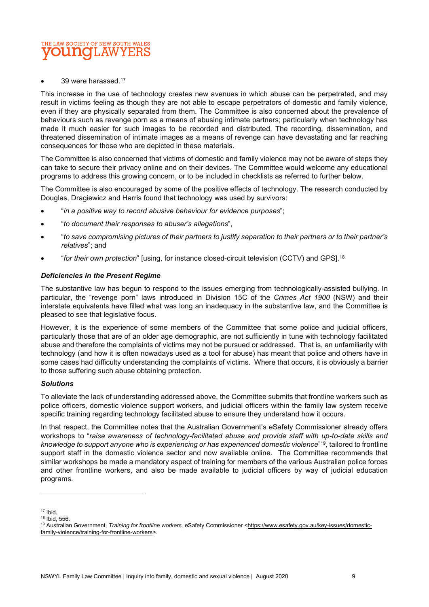

#### 39 were harassed.<sup>17</sup>

This increase in the use of technology creates new avenues in which abuse can be perpetrated, and may result in victims feeling as though they are not able to escape perpetrators of domestic and family violence, even if they are physically separated from them. The Committee is also concerned about the prevalence of behaviours such as revenge porn as a means of abusing intimate partners; particularly when technology has made it much easier for such images to be recorded and distributed. The recording, dissemination, and threatened dissemination of intimate images as a means of revenge can have devastating and far reaching consequences for those who are depicted in these materials.

The Committee is also concerned that victims of domestic and family violence may not be aware of steps they can take to secure their privacy online and on their devices. The Committee would welcome any educational programs to address this growing concern, or to be included in checklists as referred to further below.

The Committee is also encouraged by some of the positive effects of technology. The research conducted by Douglas, Dragiewicz and Harris found that technology was used by survivors:

- "in a positive way to record abusive behaviour for evidence purposes";
- "to document their responses to abuser's allegations",
- "to save compromising pictures of their partners to justify separation to their partners or to their partner's relatives"; and
- "*for their own protection*" [using, for instance closed-circuit television (CCTV) and GPS].<sup>18</sup>

#### Deficiencies in the Present Regime

The substantive law has begun to respond to the issues emerging from technologically-assisted bullying. In particular, the "revenge porn" laws introduced in Division 15C of the Crimes Act 1900 (NSW) and their interstate equivalents have filled what was long an inadequacy in the substantive law, and the Committee is pleased to see that legislative focus.

However, it is the experience of some members of the Committee that some police and judicial officers, particularly those that are of an older age demographic, are not sufficiently in tune with technology facilitated abuse and therefore the complaints of victims may not be pursued or addressed. That is, an unfamiliarity with technology (and how it is often nowadays used as a tool for abuse) has meant that police and others have in some cases had difficulty understanding the complaints of victims. Where that occurs, it is obviously a barrier to those suffering such abuse obtaining protection.

#### **Solutions**

To alleviate the lack of understanding addressed above, the Committee submits that frontline workers such as police officers, domestic violence support workers, and judicial officers within the family law system receive specific training regarding technology facilitated abuse to ensure they understand how it occurs.

In that respect, the Committee notes that the Australian Government's eSafety Commissioner already offers workshops to "raise awareness of technology-facilitated abuse and provide staff with up-to-date skills and knowledge to support anyone who is experiencing or has experienced domestic violence"<sup>19</sup>, tailored to frontline support staff in the domestic violence sector and now available online. The Committee recommends that similar workshops be made a mandatory aspect of training for members of the various Australian police forces and other frontline workers, and also be made available to judicial officers by way of judicial education programs.

 $17$  Ibid.

<sup>18</sup> Ibid, 556.

<sup>&</sup>lt;sup>19</sup> Australian Government, Training for frontline workers, eSafety Commissioner <https://www.esafety.gov.au/key-issues/domesticfamily-violence/training-for-frontline-workers>.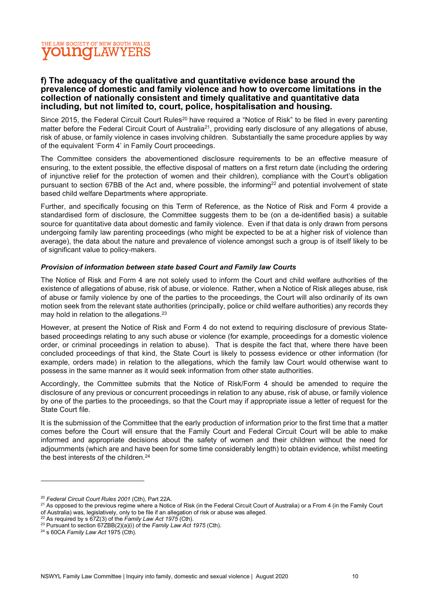#### THE LAW SOCIETY OF NEW SOUTH WALES **OUNGLAW YERS**

#### f) The adequacy of the qualitative and quantitative evidence base around the prevalence of domestic and family violence and how to overcome limitations in the collection of nationally consistent and timely qualitative and quantitative data including, but not limited to, court, police, hospitalisation and housing.

Since 2015, the Federal Circuit Court Rules<sup>20</sup> have required a "Notice of Risk" to be filed in every parenting matter before the Federal Circuit Court of Australia<sup>21</sup>, providing early disclosure of any allegations of abuse, risk of abuse, or family violence in cases involving children. Substantially the same procedure applies by way of the equivalent 'Form 4' in Family Court proceedings.

The Committee considers the abovementioned disclosure requirements to be an effective measure of ensuring, to the extent possible, the effective disposal of matters on a first return date (including the ordering of injunctive relief for the protection of women and their children), compliance with the Court's obligation pursuant to section 67BB of the Act and, where possible, the informing<sup>22</sup> and potential involvement of state based child welfare Departments where appropriate.

Further, and specifically focusing on this Term of Reference, as the Notice of Risk and Form 4 provide a standardised form of disclosure, the Committee suggests them to be (on a de-identified basis) a suitable source for quantitative data about domestic and family violence. Even if that data is only drawn from persons undergoing family law parenting proceedings (who might be expected to be at a higher risk of violence than average), the data about the nature and prevalence of violence amongst such a group is of itself likely to be of significant value to policy-makers.

#### Provision of information between state based Court and Family law Courts

The Notice of Risk and Form 4 are not solely used to inform the Court and child welfare authorities of the existence of allegations of abuse, risk of abuse, or violence. Rather, when a Notice of Risk alleges abuse, risk of abuse or family violence by one of the parties to the proceedings, the Court will also ordinarily of its own motion seek from the relevant state authorities (principally, police or child welfare authorities) any records they may hold in relation to the allegations.<sup>23</sup>

However, at present the Notice of Risk and Form 4 do not extend to requiring disclosure of previous Statebased proceedings relating to any such abuse or violence (for example, proceedings for a domestic violence order, or criminal proceedings in relation to abuse). That is despite the fact that, where there have been concluded proceedings of that kind, the State Court is likely to possess evidence or other information (for example, orders made) in relation to the allegations, which the family law Court would otherwise want to possess in the same manner as it would seek information from other state authorities.

Accordingly, the Committee submits that the Notice of Risk/Form 4 should be amended to require the disclosure of any previous or concurrent proceedings in relation to any abuse, risk of abuse, or family violence by one of the parties to the proceedings, so that the Court may if appropriate issue a letter of request for the State Court file.

It is the submission of the Committee that the early production of information prior to the first time that a matter comes before the Court will ensure that the Family Court and Federal Circuit Court will be able to make informed and appropriate decisions about the safety of women and their children without the need for adjournments (which are and have been for some time considerably length) to obtain evidence, whilst meeting the best interests of the children.<sup>24</sup>

<sup>&</sup>lt;sup>20</sup> Federal Circuit Court Rules 2001 (Cth), Part 22A.

<sup>&</sup>lt;sup>21</sup> As opposed to the previous regime where a Notice of Risk (in the Federal Circuit Court of Australia) or a From 4 (in the Family Court of Australia) was, legislatively, only to be file if an allegation of risk or abuse was alleged.

 $22$  As required by s  $67Z(3)$  of the Family Law Act 1975 (Cth).

<sup>&</sup>lt;sup>23</sup> Pursuant to section 67ZBB(2)(a)(i) of the Family Law Act 1975 (Cth).

 $24$  s 60CA Family Law Act 1975 (Cth).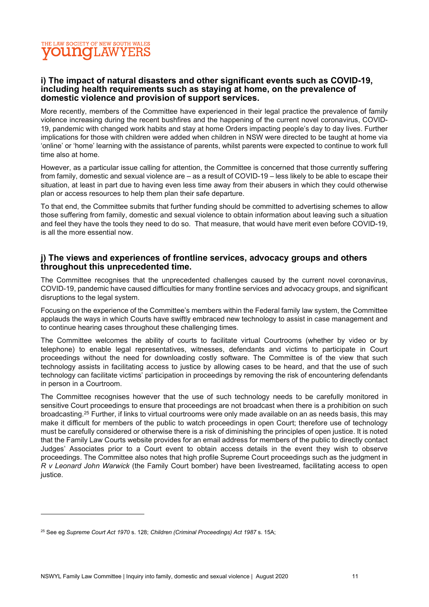### THE LAW SOCIETY OF NEW SOUTH WALES **VOUNCLAWYERS**

#### i) The impact of natural disasters and other significant events such as COVID-19, including health requirements such as staying at home, on the prevalence of domestic violence and provision of support services.

More recently, members of the Committee have experienced in their legal practice the prevalence of family violence increasing during the recent bushfires and the happening of the current novel coronavirus, COVID-19, pandemic with changed work habits and stay at home Orders impacting people's day to day lives. Further implications for those with children were added when children in NSW were directed to be taught at home via 'online' or 'home' learning with the assistance of parents, whilst parents were expected to continue to work full time also at home.

However, as a particular issue calling for attention, the Committee is concerned that those currently suffering from family, domestic and sexual violence are – as a result of COVID-19 – less likely to be able to escape their situation, at least in part due to having even less time away from their abusers in which they could otherwise plan or access resources to help them plan their safe departure.

To that end, the Committee submits that further funding should be committed to advertising schemes to allow those suffering from family, domestic and sexual violence to obtain information about leaving such a situation and feel they have the tools they need to do so. That measure, that would have merit even before COVID-19, is all the more essential now.

#### i) The views and experiences of frontline services, advocacy groups and others throughout this unprecedented time.

The Committee recognises that the unprecedented challenges caused by the current novel coronavirus, COVID-19, pandemic have caused difficulties for many frontline services and advocacy groups, and significant disruptions to the legal system.

Focusing on the experience of the Committee's members within the Federal family law system, the Committee applauds the ways in which Courts have swiftly embraced new technology to assist in case management and to continue hearing cases throughout these challenging times.

The Committee welcomes the ability of courts to facilitate virtual Courtrooms (whether by video or by telephone) to enable legal representatives, witnesses, defendants and victims to participate in Court proceedings without the need for downloading costly software. The Committee is of the view that such technology assists in facilitating access to justice by allowing cases to be heard, and that the use of such technology can facilitate victims' participation in proceedings by removing the risk of encountering defendants in person in a Courtroom.

The Committee recognises however that the use of such technology needs to be carefully monitored in sensitive Court proceedings to ensure that proceedings are not broadcast when there is a prohibition on such broadcasting.<sup>25</sup> Further, if links to virtual courtrooms were only made available on an as needs basis, this may make it difficult for members of the public to watch proceedings in open Court; therefore use of technology must be carefully considered or otherwise there is a risk of diminishing the principles of open justice. It is noted that the Family Law Courts website provides for an email address for members of the public to directly contact Judges' Associates prior to a Court event to obtain access details in the event they wish to observe proceedings. The Committee also notes that high profile Supreme Court proceedings such as the judgment in R v Leonard John Warwick (the Family Court bomber) have been livestreamed, facilitating access to open justice.

<sup>&</sup>lt;sup>25</sup> See eg Supreme Court Act 1970 s. 128; Children (Criminal Proceedings) Act 1987 s. 15A;